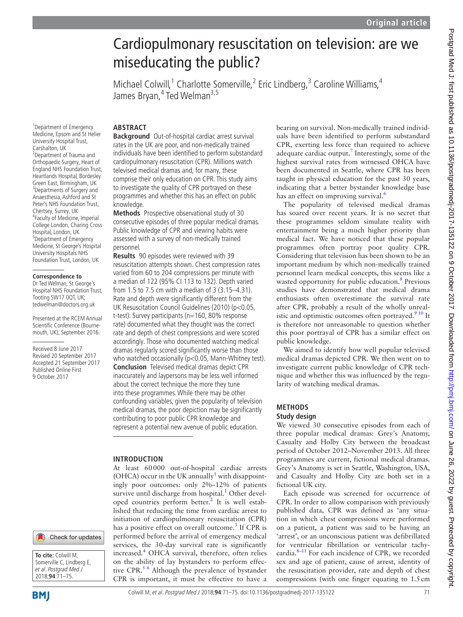# Cardiopulmonary resuscitation on television: are we miseducating the public?

Michael Colwill,<sup>1</sup> Charlotte Somerville,<sup>2</sup> Eric Lindberg,<sup>3</sup> Caroline Williams,<sup>4</sup> James Bryan,<sup>4</sup> Ted Welman<sup>3,5</sup>

## **Abstract**

<sup>1</sup> Department of Emergency

<sup>2</sup> Department of Trauma and

Green East, Birmingham, UK

Anaesthesia, Ashford and St

Chertsey, Surrey, UK 4 Faculty of Medicine, Imperial College London, Charing Cross Hospital, London, UK <sup>5</sup>Department of Emergency Medicine, St George's Hospital University Hospitals NHS Foundation Trust, London, UK

**Correspondence to** Dr Ted Welman, St George's Hospital NHS Foundation Trust, Tooting SW17 0QT, UK; tedwelman@doctors.org.uk Presented at the RCEM Annual Scientific Conference (Bournemouth, UK), September 2016.

Received 8 June 2017 Revised 20 September 2017 Accepted 21 September 2017 Published Online First 9 October 2017

University Hospital Trust, Carshalton, UK

Medicine, Epsom and St Helier Orthopaedic Surgery, Heart of England NHS Foundation Trust, Heartlands Hospital, Bordesley <sup>3</sup>Departments of Surgery and Peter's NHS Foundation Trust, **Background** Out-of-hospital cardiac arrest survival rates in the UK are poor, and non-medically trained individuals have been identified to perform substandard cardiopulmonary resuscitation (CPR). Millions watch televised medical dramas and, for many, these comprise their only education on CPR. This study aims to investigate the quality of CPR portrayed on these programmes and whether this has an effect on public knowledge.

**Methods** Prospective observational study of 30 consecutive episodes of three popular medical dramas. Public knowledge of CPR and viewing habits were assessed with a survey of non-medically trained personnel.

**Results** 90 episodes were reviewed with 39 resuscitation attempts shown. Chest compression rates varied from 60 to 204 compressions per minute with a median of 122 (95% CI 113 to 132). Depth varied from 1.5 to 7.5 cm with a median of 3 (3.15–4.31). Rate and depth were significantly different from the UK Resuscitation Council Guidelines (2010) (p<0.05, t-test). Survey participants (n=160, 80% response rate) documented what they thought was the correct rate and depth of chest compressions and were scored accordingly. Those who documented watching medical dramas regularly scored significantly worse than those who watched occasionally (p<0.05, Mann-Whitney test). **Conclusion** Televised medical dramas depict CPR inaccurately and laypersons may be less well informed about the correct technique the more they tune into these programmes. While there may be other confounding variables, given the popularity of television medical dramas, the poor depiction may be significantly contributing to poor public CPR knowledge and represent a potential new avenue of public education.

## **Introduction**

At least 60000 out-of-hospital cardiac arrests (OHCA) occur in the UK annually<sup>1</sup> with disappointingly poor outcomes: only 2%–12% of patients survive until discharge from hospital.<sup>[1](#page-4-0)</sup> Other devel-oped countries perform better.<sup>[2](#page-4-1)</sup> It is well established that reducing the time from cardiac arrest to initiation of cardiopulmonary resuscitation (CPR) has a positive effect on overall outcome.<sup>3</sup> If CPR is performed before the arrival of emergency medical services, the 30-day survival rate is significantly increased.<sup>4</sup> OHCA survival, therefore, often relies on the ability of lay bystanders to perform effective CPR.<sup>5 6</sup> Although the prevalence of bystander CPR is important, it must be effective to have a

bearing on survival. Non-medically trained individuals have been identified to perform substandard CPR, exerting less force than required to achieve adequate cardiac output.<sup>[7](#page-4-5)</sup> Interestingly, some of the highest survival rates from witnessed OHCA have been documented in Seattle, where CPR has been taught in physical education for the past 30 years, indicating that a better bystander knowledge base has an effect on improving survival.<sup>[6](#page-4-6)</sup>

The popularity of televised medical dramas has soared over recent years. It is no secret that these programmes seldom simulate reality with entertainment being a much higher priority than medical fact. We have noticed that these popular programmes often portray poor quality CPR. Considering that television has been shown to be an important medium by which non-medically trained personnel learn medical concepts, this seems like a wasted opportunity for public education.<sup>[8](#page-4-7)</sup> Previous studies have demonstrated that medical drama enthusiasts often overestimate the survival rate after CPR, probably a result of the wholly unrealistic and optimistic outcomes often portrayed.<sup>9 10</sup> It is therefore not unreasonable to question whether this poor portrayal of CPR has a similar effect on public knowledge.

We aimed to identify how well popular televised medical dramas depicted CPR. We then went on to investigate current public knowledge of CPR technique and whether this was influenced by the regularity of watching medical dramas.

## **Methods**

## **Study design**

We viewed 30 consecutive episodes from each of three popular medical dramas: Grey's Anatomy, Casualty and Holby City between the broadcast period of October 2012–November 2013. All three programmes are current, fictional medical dramas. Grey's Anatomy is set in Seattle, Washington, USA, and Casualty and Holby City are both set in a fictional UK city.

Each episode was screened for occurrence of CPR. In order to allow comparison with previously published data, CPR was defined as 'any situation in which chest compressions were performed on a patient, a patient was said to be having an 'arrest', or an unconscious patient was defibrillated for ventricular fibrillation or ventricular tachycardia. $8-11$  For each incidence of CPR, we recorded sex and age of patient, cause of arrest, identity of the resuscitation provider, rate and depth of chest compressions (with one finger equating to 1.5cm

Check for updates

**To cite:** Colwill M, Somerville C, Lindberg E, et al. Postgrad Med J 2018;**94**:71–75.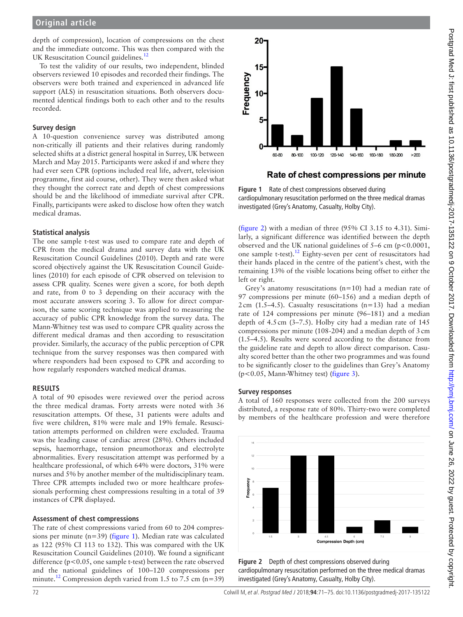depth of compression), location of compressions on the chest and the immediate outcome. This was then compared with the UK Resuscitation Council guidelines.<sup>[12](#page-4-9)</sup>

To test the validity of our results, two independent, blinded observers reviewed 10 episodes and recorded their findings. The observers were both trained and experienced in advanced life support (ALS) in resuscitation situations. Both observers documented identical findings both to each other and to the results recorded.

## **Survey design**

A 10-question convenience survey was distributed among non-critically ill patients and their relatives during randomly selected shifts at a district general hospital in Surrey, UK between March and May 2015. Participants were asked if and where they had ever seen CPR (options included real life, advert, television programme, first aid course, other). They were then asked what they thought the correct rate and depth of chest compressions should be and the likelihood of immediate survival after CPR. Finally, participants were asked to disclose how often they watch medical dramas.

## **Statistical analysis**

The one sample t-test was used to compare rate and depth of CPR from the medical drama and survey data with the UK Resuscitation Council Guidelines (2010). Depth and rate were scored objectively against the UK Resuscitation Council Guidelines (2010) for each episode of CPR observed on television to assess CPR quality. Scenes were given a score, for both depth and rate, from 0 to 3 depending on their accuracy with the most accurate answers scoring 3. To allow for direct comparison, the same scoring technique was applied to measuring the accuracy of public CPR knowledge from the survey data. The Mann-Whitney test was used to compare CPR quality across the different medical dramas and then according to resuscitation provider. Similarly, the accuracy of the public perception of CPR technique from the survey responses was then compared with where responders had been exposed to CPR and according to how regularly responders watched medical dramas.

## **Results**

A total of 90 episodes were reviewed over the period across the three medical dramas. Forty arrests were noted with 36 resuscitation attempts. Of these, 31 patients were adults and five were children, 81% were male and 19% female. Resuscitation attempts performed on children were excluded. Trauma was the leading cause of cardiac arrest (28%). Others included sepsis, haemorrhage, tension pneumothorax and electrolyte abnormalities. Every resuscitation attempt was performed by a healthcare professional, of which 64% were doctors, 31% were nurses and 5% by another member of the multidisciplinary team. Three CPR attempts included two or more healthcare professionals performing chest compressions resulting in a total of 39 instances of CPR displayed.

## **Assessment of chest compressions**

The rate of chest compressions varied from 60 to 204 compressions per minute (n=39) ([figure](#page-1-0) 1). Median rate was calculated as 122 (95% CI 113 to 132). This was compared with the UK Resuscitation Council Guidelines (2010). We found a significant difference (p<0.05, one sample t-test) between the rate observed and the national guidelines of 100–120 compressions per minute.<sup>12</sup> Compression depth varied from 1.5 to 7.5 cm (n=39)



## Rate of chest compressions per minute

<span id="page-1-0"></span>**Figure 1** Rate of chest compressions observed during cardiopulmonary resuscitation performed on the three medical dramas investigated (Grey's Anatomy, Casualty, Holby City).

([figure](#page-1-1) 2) with a median of three (95% CI 3.15 to 4.31). Similarly, a significant difference was identified between the depth observed and the UK national guidelines of  $5-6$  cm (p<0.0001, one sample t-test).[12](#page-4-9) Eighty-seven per cent of resuscitators had their hands placed in the centre of the patient's chest, with the remaining 13% of the visible locations being offset to either the left or right.

Grey's anatomy resuscitations  $(n=10)$  had a median rate of 97 compressions per minute (60–156) and a median depth of 2cm (1.5–4.5). Casualty resuscitations (n=13) had a median rate of 124 compressions per minute (96–181) and a median depth of 4.5cm (3–7.5). Holby city had a median rate of 145 compressions per minute (108-204) and a median depth of 3cm (1.5–4.5). Results were scored according to the distance from the guideline rate and depth to allow direct comparison. Casualty scored better than the other two programmes and was found to be significantly closer to the guidelines than Grey's Anatomy (p<0.05, Mann-Whitney test) [\(figure](#page-2-0) 3).

## **Survey responses**

A total of 160 responses were collected from the 200 surveys distributed, a response rate of 80%. Thirty-two were completed by members of the healthcare profession and were therefore



<span id="page-1-1"></span>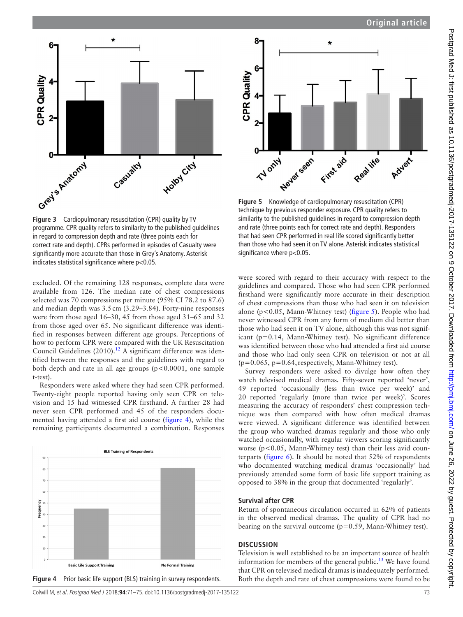



<span id="page-2-0"></span>programme. CPR quality refers to similarity to the published guidelines in regard to compression depth and rate (three points each for correct rate and depth). CPRs performed in episodes of Casualty were significantly more accurate than those in Grey's Anatomy. Asterisk indicates statistical significance where p<0.05.

excluded. Of the remaining 128 responses, complete data were available from 126. The median rate of chest compressions selected was 70 compressions per minute (95% CI 78.2 to 87.6) and median depth was 3.5cm (3.29–3.84). Forty-nine responses were from those aged 16–30, 45 from those aged 31–65 and 32 from those aged over 65. No significant difference was identified in responses between different age groups. Perceptions of how to perform CPR were compared with the UK Resuscitation Council Guidelines (2010).<sup>12</sup> A significant difference was identified between the responses and the guidelines with regard to both depth and rate in all age groups  $(p<0.0001$ , one sample t-test).

Responders were asked where they had seen CPR performed. Twenty-eight people reported having only seen CPR on television and 15 had witnessed CPR firsthand. A further 28 had never seen CPR performed and 45 of the responders documented having attended a first aid course [\(figure](#page-2-1) 4), while the remaining participants documented a combination. Responses



<span id="page-2-1"></span>



<span id="page-2-2"></span>**Figure 5** Knowledge of cardiopulmonary resuscitation (CPR) technique by previous responder exposure. CPR quality refers to similarity to the published guidelines in regard to compression depth and rate (three points each for correct rate and depth). Responders that had seen CPR performed in real life scored significantly better than those who had seen it on TV alone. Asterisk indicates statistical significance where p<0.05.

were scored with regard to their accuracy with respect to the guidelines and compared. Those who had seen CPR performed firsthand were significantly more accurate in their description of chest compressions than those who had seen it on television alone ( $p < 0.05$ , Mann-Whitney test) [\(figure](#page-2-2) 5). People who had never witnessed CPR from any form of medium did better than those who had seen it on TV alone, although this was not significant (p=0.14, Mann-Whitney test). No significant difference was identified between those who had attended a first aid course and those who had only seen CPR on television or not at all  $(p=0.065, p=0.64, respectively, Mann-Whitney test).$ 

Survey responders were asked to divulge how often they watch televised medical dramas. Fifty-seven reported 'never', 49 reported 'occasionally (less than twice per week)' and 20 reported 'regularly (more than twice per week)'. Scores measuring the accuracy of responders' chest compression technique was then compared with how often medical dramas were viewed. A significant difference was identified between the group who watched dramas regularly and those who only watched occasionally, with regular viewers scoring significantly worse (p<0.05, Mann-Whitney test) than their less avid counterparts [\(figure](#page-3-0) 6). It should be noted that 52% of respondents who documented watching medical dramas 'occasionally' had previously attended some form of basic life support training as opposed to 38% in the group that documented 'regularly'.

### **Survival after CPR**

Return of spontaneous circulation occurred in 62% of patients in the observed medical dramas. The quality of CPR had no bearing on the survival outcome  $(p=0.59,$  Mann-Whitney test).

### **Discussion**

Television is well established to be an important source of health information for members of the general public.<sup>13</sup> We have found that CPR on televised medical dramas is inadequately performed. Both the depth and rate of chest compressions were found to be

Colwill M, et al. Postgrad Med J 2018;**94**:71–75. doi:10.1136/postgradmedj-2017-135122 73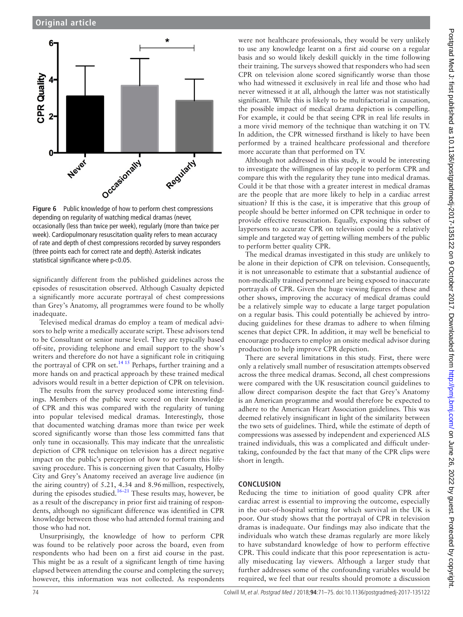

<span id="page-3-0"></span>**Figure 6** Public knowledge of how to perform chest compressions depending on regularity of watching medical dramas (never, occasionally (less than twice per week), regularly (more than twice per week). Cardiopulmonary resuscitation quality refers to mean accuracy of rate and depth of chest compressions recorded by survey responders (three points each for correct rate and depth). Asterisk indicates statistical significance where p<0.05.

significantly different from the published guidelines across the episodes of resuscitation observed. Although Casualty depicted a significantly more accurate portrayal of chest compressions than Grey's Anatomy, all programmes were found to be wholly inadequate.

Televised medical dramas do employ a team of medical advisors to help write a medically accurate script. These advisors tend to be Consultant or senior nurse level. They are typically based off-site, providing telephone and email support to the show's writers and therefore do not have a significant role in critiquing the portrayal of CPR on set.<sup>[14 15](#page-4-11)</sup> Perhaps, further training and a more hands on and practical approach by these trained medical advisors would result in a better depiction of CPR on television.

The results from the survey produced some interesting findings. Members of the public were scored on their knowledge of CPR and this was compared with the regularity of tuning into popular televised medical dramas. Interestingly, those that documented watching dramas more than twice per week scored significantly worse than those less committed fans that only tune in occasionally. This may indicate that the unrealistic depiction of CPR technique on television has a direct negative impact on the public's perception of how to perform this lifesaving procedure. This is concerning given that Casualty, Holby City and Grey's Anatomy received an average live audience (in the airing country) of 5.21, 4.34 and 8.96million, respectively, during the episodes studied.<sup>16-21</sup> These results may, however, be as a result of the discrepancy in prior first aid training of respondents, although no significant difference was identified in CPR knowledge between those who had attended formal training and those who had not.

Unsurprisingly, the knowledge of how to perform CPR was found to be relatively poor across the board, even from respondents who had been on a first aid course in the past. This might be as a result of a significant length of time having elapsed between attending the course and completing the survey; however, this information was not collected. As respondents

were not healthcare professionals, they would be very unlikely to use any knowledge learnt on a first aid course on a regular basis and so would likely deskill quickly in the time following their training. The surveys showed that responders who had seen CPR on television alone scored significantly worse than those who had witnessed it exclusively in real life and those who had never witnessed it at all, although the latter was not statistically significant. While this is likely to be multifactorial in causation, the possible impact of medical drama depiction is compelling. For example, it could be that seeing CPR in real life results in a more vivid memory of the technique than watching it on TV. In addition, the CPR witnessed firsthand is likely to have been performed by a trained healthcare professional and therefore more accurate than that performed on TV.

Although not addressed in this study, it would be interesting to investigate the willingness of lay people to perform CPR and compare this with the regularity they tune into medical dramas. Could it be that those with a greater interest in medical dramas are the people that are more likely to help in a cardiac arrest situation? If this is the case, it is imperative that this group of people should be better informed on CPR technique in order to provide effective resuscitation. Equally, exposing this subset of laypersons to accurate CPR on television could be a relatively simple and targeted way of getting willing members of the public to perform better quality CPR.

The medical dramas investigated in this study are unlikely to be alone in their depiction of CPR on television. Consequently, it is not unreasonable to estimate that a substantial audience of non-medically trained personnel are being exposed to inaccurate portrayals of CPR. Given the huge viewing figures of these and other shows, improving the accuracy of medical dramas could be a relatively simple way to educate a large target population on a regular basis. This could potentially be achieved by introducing guidelines for these dramas to adhere to when filming scenes that depict CPR. In addition, it may well be beneficial to encourage producers to employ an onsite medical advisor during production to help improve CPR depiction.

There are several limitations in this study. First, there were only a relatively small number of resuscitation attempts observed across the three medical dramas. Second, all chest compressions were compared with the UK resuscitation council guidelines to allow direct comparison despite the fact that Grey's Anatomy is an American programme and would therefore be expected to adhere to the American Heart Association guidelines. This was deemed relatively insignificant in light of the similarity between the two sets of guidelines. Third, while the estimate of depth of compressions was assessed by independent and experienced ALS trained individuals, this was a complicated and difficult undertaking, confounded by the fact that many of the CPR clips were short in length.

## **Conclusion**

Reducing the time to initiation of good quality CPR after cardiac arrest is essential to improving the outcome, especially in the out-of-hospital setting for which survival in the UK is poor. Our study shows that the portrayal of CPR in television dramas is inadequate. Our findings may also indicate that the individuals who watch these dramas regularly are more likely to have substandard knowledge of how to perform effective CPR. This could indicate that this poor representation is actually miseducating lay viewers. Although a larger study that further addresses some of the confounding variables would be required, we feel that our results should promote a discussion